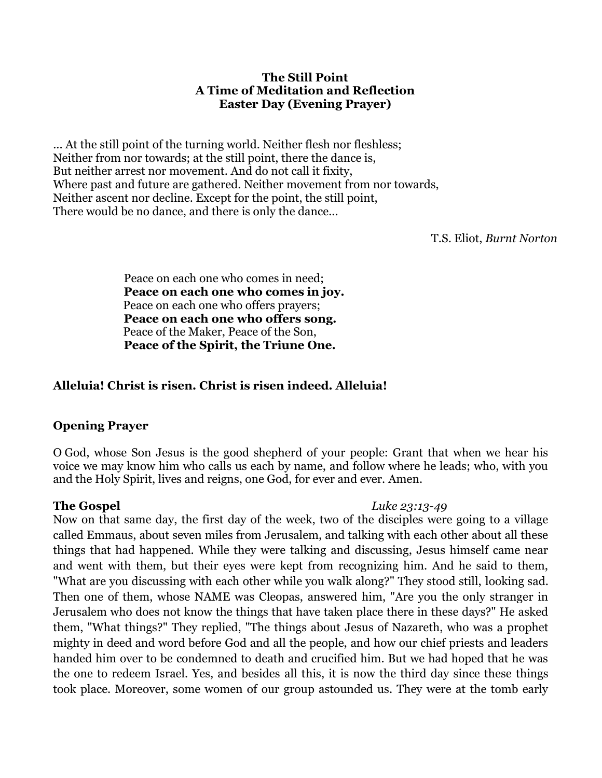#### **The Still Point A Time of Meditation and Reflection Easter Day (Evening Prayer)**

... At the still point of the turning world. Neither flesh nor fleshless; Neither from nor towards; at the still point, there the dance is, But neither arrest nor movement. And do not call it fixity, Where past and future are gathered. Neither movement from nor towards, Neither ascent nor decline. Except for the point, the still point, There would be no dance, and there is only the dance...

T.S. Eliot, *Burnt Norton*

Peace on each one who comes in need; **Peace on each one who comes in joy.**  Peace on each one who offers prayers; **Peace on each one who offers song.** Peace of the Maker, Peace of the Son, **Peace of the Spirit, the Triune One.** 

## **Alleluia! Christ is risen. Christ is risen indeed. Alleluia!**

### **Opening Prayer**

O God, whose Son Jesus is the good shepherd of your people: Grant that when we hear his voice we may know him who calls us each by name, and follow where he leads; who, with you and the Holy Spirit, lives and reigns, one God, for ever and ever. Amen.

### **The Gospel** *Luke 23:13-49*

Now on that same day, the first day of the week, two of the disciples were going to a village called Emmaus, about seven miles from Jerusalem, and talking with each other about all these things that had happened. While they were talking and discussing, Jesus himself came near and went with them, but their eyes were kept from recognizing him. And he said to them, "What are you discussing with each other while you walk along?" They stood still, looking sad. Then one of them, whose NAME was Cleopas, answered him, "Are you the only stranger in Jerusalem who does not know the things that have taken place there in these days?" He asked them, "What things?" They replied, "The things about Jesus of Nazareth, who was a prophet mighty in deed and word before God and all the people, and how our chief priests and leaders handed him over to be condemned to death and crucified him. But we had hoped that he was the one to redeem Israel. Yes, and besides all this, it is now the third day since these things took place. Moreover, some women of our group astounded us. They were at the tomb early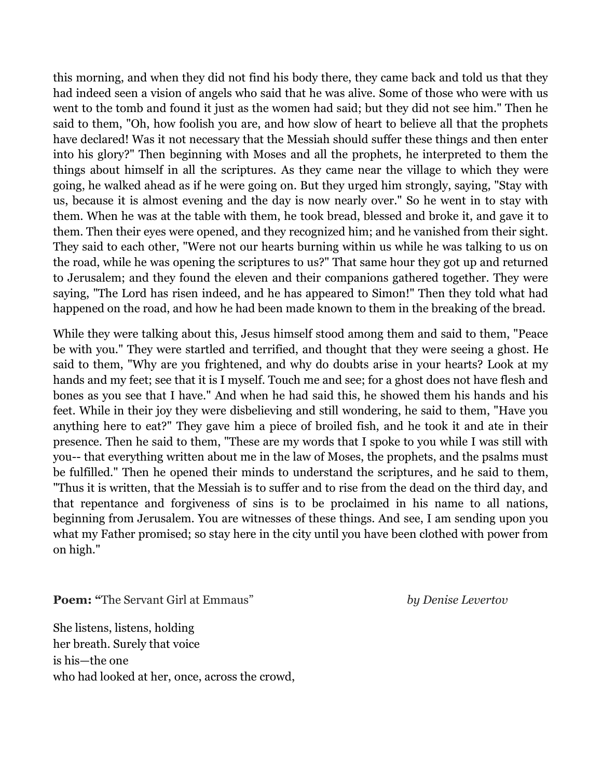this morning, and when they did not find his body there, they came back and told us that they had indeed seen a vision of angels who said that he was alive. Some of those who were with us went to the tomb and found it just as the women had said; but they did not see him." Then he said to them, "Oh, how foolish you are, and how slow of heart to believe all that the prophets have declared! Was it not necessary that the Messiah should suffer these things and then enter into his glory?" Then beginning with Moses and all the prophets, he interpreted to them the things about himself in all the scriptures. As they came near the village to which they were going, he walked ahead as if he were going on. But they urged him strongly, saying, "Stay with us, because it is almost evening and the day is now nearly over." So he went in to stay with them. When he was at the table with them, he took bread, blessed and broke it, and gave it to them. Then their eyes were opened, and they recognized him; and he vanished from their sight. They said to each other, "Were not our hearts burning within us while he was talking to us on the road, while he was opening the scriptures to us?" That same hour they got up and returned to Jerusalem; and they found the eleven and their companions gathered together. They were saying, "The Lord has risen indeed, and he has appeared to Simon!" Then they told what had happened on the road, and how he had been made known to them in the breaking of the bread.

While they were talking about this, Jesus himself stood among them and said to them, "Peace be with you." They were startled and terrified, and thought that they were seeing a ghost. He said to them, "Why are you frightened, and why do doubts arise in your hearts? Look at my hands and my feet; see that it is I myself. Touch me and see; for a ghost does not have flesh and bones as you see that I have." And when he had said this, he showed them his hands and his feet. While in their joy they were disbelieving and still wondering, he said to them, "Have you anything here to eat?" They gave him a piece of broiled fish, and he took it and ate in their presence. Then he said to them, "These are my words that I spoke to you while I was still with you-- that everything written about me in the law of Moses, the prophets, and the psalms must be fulfilled." Then he opened their minds to understand the scriptures, and he said to them, "Thus it is written, that the Messiah is to suffer and to rise from the dead on the third day, and that repentance and forgiveness of sins is to be proclaimed in his name to all nations, beginning from Jerusalem. You are witnesses of these things. And see, I am sending upon you what my Father promised; so stay here in the city until you have been clothed with power from on high."

**Poem: "**The Servant Girl at Emmaus" *by Denise Levertov*

She listens, listens, holding her breath. Surely that voice is his—the one who had looked at her, once, across the crowd,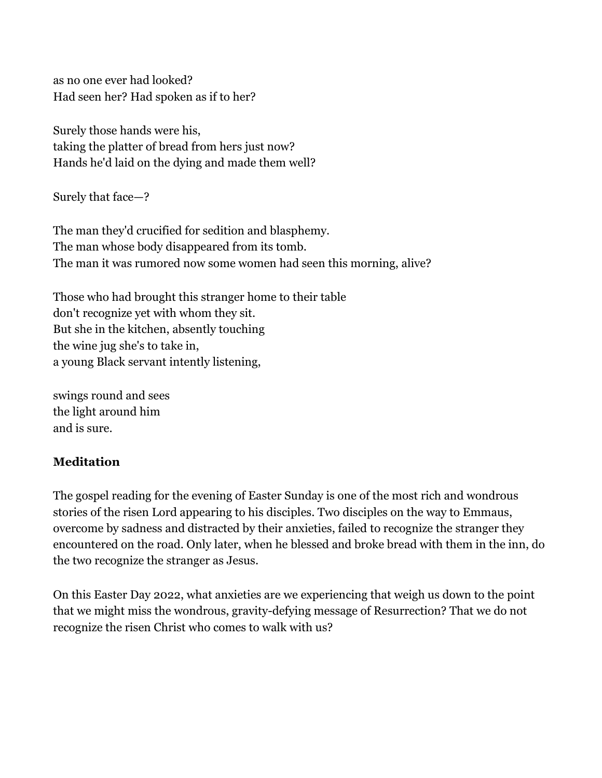as no one ever had looked? Had seen her? Had spoken as if to her?

Surely those hands were his, taking the platter of bread from hers just now? Hands he'd laid on the dying and made them well?

Surely that face—?

The man they'd crucified for sedition and blasphemy. The man whose body disappeared from its tomb. The man it was rumored now some women had seen this morning, alive?

Those who had brought this stranger home to their table don't recognize yet with whom they sit. But she in the kitchen, absently touching the wine jug she's to take in, a young Black servant intently listening,

swings round and sees the light around him and is sure.

# **Meditation**

The gospel reading for the evening of Easter Sunday is one of the most rich and wondrous stories of the risen Lord appearing to his disciples. Two disciples on the way to Emmaus, overcome by sadness and distracted by their anxieties, failed to recognize the stranger they encountered on the road. Only later, when he blessed and broke bread with them in the inn, do the two recognize the stranger as Jesus.

On this Easter Day 2022, what anxieties are we experiencing that weigh us down to the point that we might miss the wondrous, gravity-defying message of Resurrection? That we do not recognize the risen Christ who comes to walk with us?